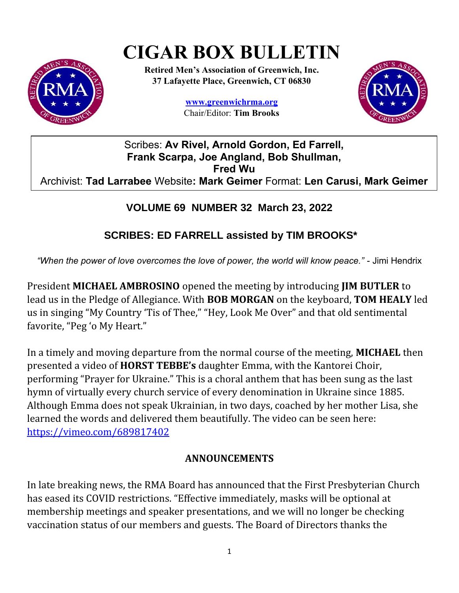# **CIGAR BOX BULLETIN**



**Retired Men's Association of Greenwich, Inc. 37 Lafayette Place, Greenwich, CT 06830**

> **www.greenwichrma.org** Chair/Editor: **Tim Brooks**



### Scribes: **Av Rivel, Arnold Gordon, Ed Farrell, Frank Scarpa, Joe Angland, Bob Shullman, Fred Wu** Archivist: **Tad Larrabee** Website**: Mark Geimer** Format: **Len Carusi, Mark Geimer**

## **VOLUME 69 NUMBER 32 March 23, 2022**

# **SCRIBES: ED FARRELL assisted by TIM BROOKS\***

*"When the power of love overcomes the love of power, the world will know peace."* - Jimi Hendrix

President **MICHAEL AMBROSINO** opened the meeting by introducing **JIM BUTLER** to lead us in the Pledge of Allegiance. With **BOB MORGAN** on the keyboard, **TOM HEALY** led us in singing "My Country 'Tis of Thee," "Hey, Look Me Over" and that old sentimental favorite, "Peg 'o My Heart."

In a timely and moving departure from the normal course of the meeting, **MICHAEL** then presented a video of **HORST TEBBE's** daughter Emma, with the Kantorei Choir, performing "Prayer for Ukraine." This is a choral anthem that has been sung as the last hymn of virtually every church service of every denomination in Ukraine since 1885. Although Emma does not speak Ukrainian, in two days, coached by her mother Lisa, she learned the words and delivered them beautifully. The video can be seen here: <https://vimeo.com/689817402>

## **ANNOUNCEMENTS**

In late breaking news, the RMA Board has announced that the First Presbyterian Church has eased its COVID restrictions. "Effective immediately, masks will be optional at membership meetings and speaker presentations, and we will no longer be checking vaccination status of our members and guests. The Board of Directors thanks the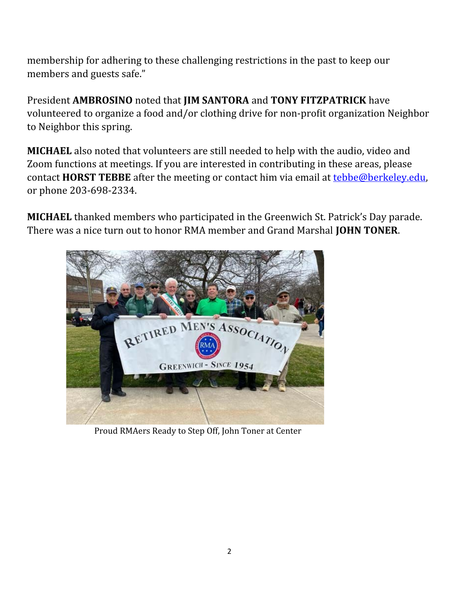membership for adhering to these challenging restrictions in the past to keep our members and guests safe."

President **AMBROSINO** noted that **JIM SANTORA** and **TONY FITZPATRICK** have volunteered to organize a food and/or clothing drive for non-profit organization Neighbor to Neighbor this spring.

**MICHAEL** also noted that volunteers are still needed to help with the audio, video and Zoom functions at meetings. If you are interested in contributing in these areas, please contact **HORST TEBBE** after the meeting or contact him via email at [tebbe@berkeley.edu](mailto:tebbe@berkeley.edu), or phone 203-698-2334.

**MICHAEL** thanked members who participated in the Greenwich St. Patrick's Day parade. There was a nice turn out to honor RMA member and Grand Marshal **JOHN TONER**.



Proud RMAers Ready to Step Off, John Toner at Center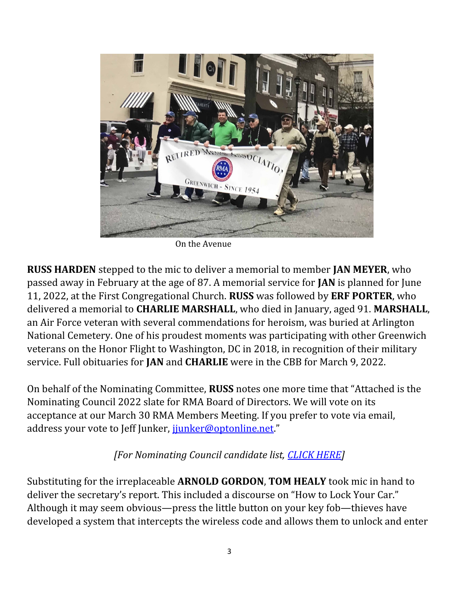

On the Avenue

**RUSS HARDEN** stepped to the mic to deliver a memorial to member **JAN MEYER**, who passed away in February at the age of 87. A memorial service for **JAN** is planned for June 11, 2022, at the First Congregational Church. **RUSS** was followed by **ERF PORTER**, who delivered a memorial to **CHARLIE MARSHALL**, who died in January, aged 91. **MARSHALL**, an Air Force veteran with several commendations for heroism, was buried at Arlington National Cemetery. One of his proudest moments was participating with other Greenwich veterans on the Honor Flight to Washington, DC in 2018, in recognition of their military service. Full obituaries for **JAN** and **CHARLIE** were in the CBB for March 9, 2022.

On behalf of the Nominating Committee, **RUSS** notes one more time that "Attached is the Nominating Council 2022 slate for RMA Board of Directors. We will vote on its acceptance at our March 30 RMA Members Meeting. If you prefer to vote via email, address your vote to Jeff Junker, junker@optonline.net."

#### *[For Nominating Council candidate list, [CLICK HERE\]](https://drive.google.com/file/d/1ZEu9g7A9k0HcftJ5sOH9NCWC0jzWvfOP/view?usp=sharing)*

Substituting for the irreplaceable **ARNOLD GORDON**, **TOM HEALY** took mic in hand to deliver the secretary's report. This included a discourse on "How to Lock Your Car." Although it may seem obvious—press the little button on your key fob—thieves have developed a system that intercepts the wireless code and allows them to unlock and enter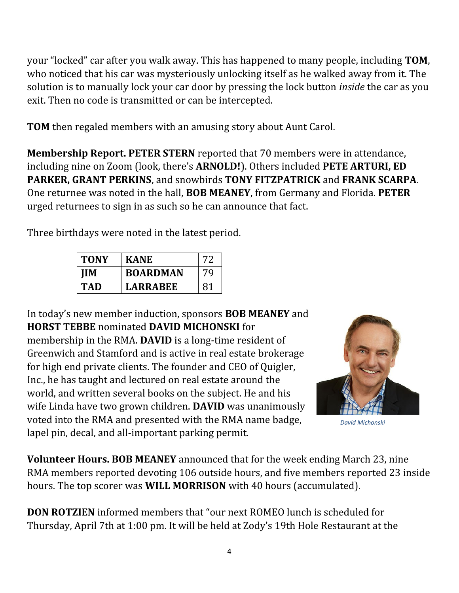your "locked" car after you walk away. This has happened to many people, including **TOM**, who noticed that his car was mysteriously unlocking itself as he walked away from it. The solution is to manually lock your car door by pressing the lock button *inside* the car as you exit. Then no code is transmitted or can be intercepted.

**TOM** then regaled members with an amusing story about Aunt Carol.

**Membership Report. PETER STERN** reported that 70 members were in attendance, including nine on Zoom (look, there's **ARNOLD!**). Others included **PETE ARTURI, ED PARKER, GRANT PERKINS**, and snowbirds **TONY FITZPATRICK** and **FRANK SCARPA**. One returnee was noted in the hall, **BOB MEANEY**, from Germany and Florida. **PETER**  urged returnees to sign in as such so he can announce that fact.

Three birthdays were noted in the latest period.

| <b>TONY</b> | <b>KANE</b>     |    |
|-------------|-----------------|----|
| ПM          | <b>BOARDMAN</b> | 70 |
| TAD         | <b>LARRABEE</b> | 81 |

In today's new member induction, sponsors **BOB MEANEY** and **HORST TEBBE** nominated **DAVID MICHONSKI** for membership in the RMA. **DAVID** is a long-time resident of Greenwich and Stamford and is active in real estate brokerage for high end private clients. The founder and CEO of Quigler, Inc., he has taught and lectured on real estate around the world, and written several books on the subject. He and his wife Linda have two grown children. **DAVID** was unanimously voted into the RMA and presented with the RMA name badge, lapel pin, decal, and all-important parking permit.



 *David Michonski*

**Volunteer Hours. BOB MEANEY** announced that for the week ending March 23, nine RMA members reported devoting 106 outside hours, and five members reported 23 inside hours. The top scorer was **WILL MORRISON** with 40 hours (accumulated).

**DON ROTZIEN** informed members that "our next ROMEO lunch is scheduled for Thursday, April 7th at 1:00 pm. It will be held at Zody's 19th Hole Restaurant at the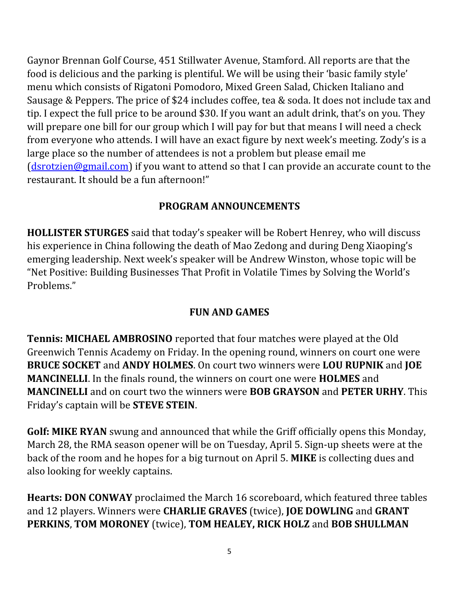Gaynor Brennan Golf Course, 451 Stillwater Avenue, Stamford. All reports are that the food is delicious and the parking is plentiful. We will be using their 'basic family style' menu which consists of Rigatoni Pomodoro, Mixed Green Salad, Chicken Italiano and Sausage & Peppers. The price of \$24 includes coffee, tea & soda. It does not include tax and tip. I expect the full price to be around \$30. If you want an adult drink, that's on you. They will prepare one bill for our group which I will pay for but that means I will need a check from everyone who attends. I will have an exact figure by next week's meeting. Zody's is a large place so the number of attendees is not a problem but please email me [\(dsrotzien@gmail.com\)](mailto:dsrotzien@gmail.com) if you want to attend so that I can provide an accurate count to the restaurant. It should be a fun afternoon!"

#### **PROGRAM ANNOUNCEMENTS**

**HOLLISTER STURGES** said that today's speaker will be Robert Henrey, who will discuss his experience in China following the death of Mao Zedong and during Deng Xiaoping's emerging leadership. Next week's speaker will be Andrew Winston, whose topic will be "Net Positive: Building Businesses That Profit in Volatile Times by Solving the World's Problems."

#### **FUN AND GAMES**

**Tennis: MICHAEL AMBROSINO** reported that four matches were played at the Old Greenwich Tennis Academy on Friday. In the opening round, winners on court one were **BRUCE SOCKET** and **ANDY HOLMES**. On court two winners were **LOU RUPNIK** and **JOE MANCINELLI**. In the finals round, the winners on court one were **HOLMES** and **MANCINELLI** and on court two the winners were **BOB GRAYSON** and **PETER URHY**. This Friday's captain will be **STEVE STEIN**.

**Golf: MIKE RYAN** swung and announced that while the Griff officially opens this Monday, March 28, the RMA season opener will be on Tuesday, April 5. Sign-up sheets were at the back of the room and he hopes for a big turnout on April 5. **MIKE** is collecting dues and also looking for weekly captains.

**Hearts: DON CONWAY** proclaimed the March 16 scoreboard, which featured three tables and 12 players. Winners were **CHARLIE GRAVES** (twice), **JOE DOWLING** and **GRANT PERKINS**, **TOM MORONEY** (twice), **TOM HEALEY, RICK HOLZ** and **BOB SHULLMAN**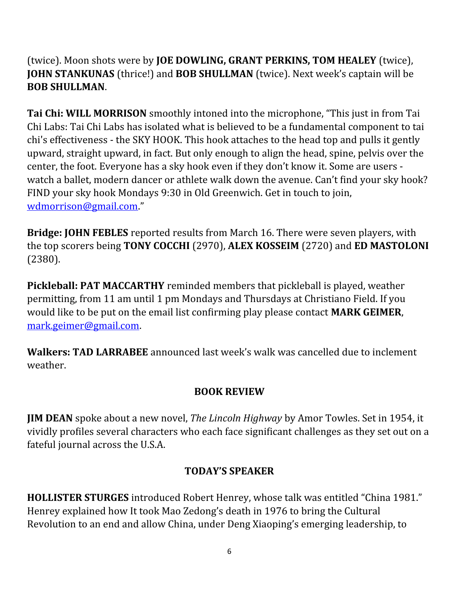(twice). Moon shots were by **JOE DOWLING, GRANT PERKINS, TOM HEALEY** (twice), **JOHN STANKUNAS** (thrice!) and **BOB SHULLMAN** (twice). Next week's captain will be **BOB SHULLMAN**.

**Tai Chi: WILL MORRISON** smoothly intoned into the microphone, "This just in from Tai Chi Labs: Tai Chi Labs has isolated what is believed to be a fundamental component to tai chi's effectiveness - the SKY HOOK. This hook attaches to the head top and pulls it gently upward, straight upward, in fact. But only enough to align the head, spine, pelvis over the center, the foot. Everyone has a sky hook even if they don't know it. Some are users watch a ballet, modern dancer or athlete walk down the avenue. Can't find your sky hook? FIND your sky hook Mondays 9:30 in Old Greenwich. Get in touch to join, [wdmorrison@gmail.com](mailto:wdmorrison@gmail.com)."

**Bridge: JOHN FEBLES** reported results from March 16. There were seven players, with the top scorers being **TONY COCCHI** (2970), **ALEX KOSSEIM** (2720) and **ED MASTOLONI** (2380).

**Pickleball: PAT MACCARTHY** reminded members that pickleball is played, weather permitting, from 11 am until 1 pm Mondays and Thursdays at Christiano Field. If you would like to be put on the email list confirming play please contact **MARK GEIMER**, [mark.geimer@gmail.com](mailto:mark.geimer@gmail.com).

**Walkers: TAD LARRABEE** announced last week's walk was cancelled due to inclement weather.

#### **BOOK REVIEW**

**JIM DEAN** spoke about a new novel, *The Lincoln Highway* by Amor Towles. Set in 1954, it vividly profiles several characters who each face significant challenges as they set out on a fateful journal across the U.S.A.

#### **TODAY'S SPEAKER**

**HOLLISTER STURGES** introduced Robert Henrey, whose talk was entitled "China 1981." Henrey explained how It took Mao Zedong's death in 1976 to bring the Cultural Revolution to an end and allow China, under Deng Xiaoping's emerging leadership, to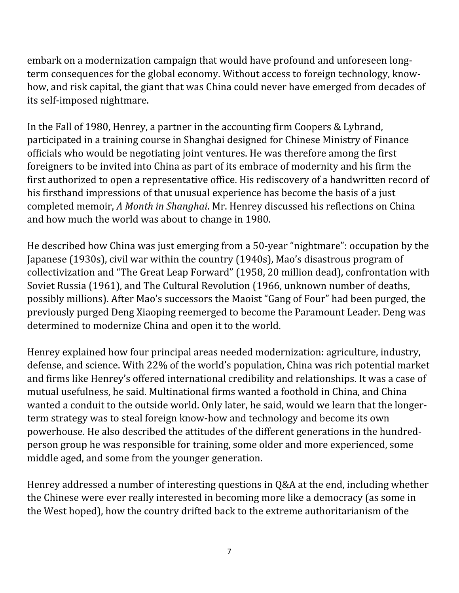embark on a modernization campaign that would have profound and unforeseen longterm consequences for the global economy. Without access to foreign technology, knowhow, and risk capital, the giant that was China could never have emerged from decades of its self-imposed nightmare.

In the Fall of 1980, Henrey, a partner in the accounting firm Coopers & Lybrand, participated in a training course in Shanghai designed for Chinese Ministry of Finance officials who would be negotiating joint ventures. He was therefore among the first foreigners to be invited into China as part of its embrace of modernity and his firm the first authorized to open a representative office. His rediscovery of a handwritten record of his firsthand impressions of that unusual experience has become the basis of a just completed memoir, *A Month in Shanghai*. Mr. Henrey discussed his reflections on China and how much the world was about to change in 1980.

He described how China was just emerging from a 50-year "nightmare": occupation by the Japanese (1930s), civil war within the country (1940s), Mao's disastrous program of collectivization and "The Great Leap Forward" (1958, 20 million dead), confrontation with Soviet Russia (1961), and The Cultural Revolution (1966, unknown number of deaths, possibly millions). After Mao's successors the Maoist "Gang of Four" had been purged, the previously purged Deng Xiaoping reemerged to become the Paramount Leader. Deng was determined to modernize China and open it to the world.

Henrey explained how four principal areas needed modernization: agriculture, industry, defense, and science. With 22% of the world's population, China was rich potential market and firms like Henrey's offered international credibility and relationships. It was a case of mutual usefulness, he said. Multinational firms wanted a foothold in China, and China wanted a conduit to the outside world. Only later, he said, would we learn that the longerterm strategy was to steal foreign know-how and technology and become its own powerhouse. He also described the attitudes of the different generations in the hundredperson group he was responsible for training, some older and more experienced, some middle aged, and some from the younger generation.

Henrey addressed a number of interesting questions in Q&A at the end, including whether the Chinese were ever really interested in becoming more like a democracy (as some in the West hoped), how the country drifted back to the extreme authoritarianism of the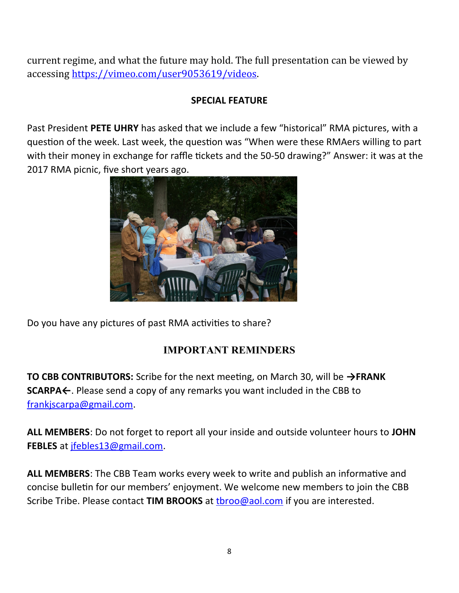current regime, and what the future may hold. The full presentation can be viewed by accessing [https://vimeo.com/user9053619/videos.](https://vimeo.com/user9053619/videos)

#### **SPECIAL FEATURE**

Past President **PETE UHRY** has asked that we include a few "historical" RMA pictures, with a question of the week. Last week, the question was "When were these RMAers willing to part with their money in exchange for raffle tickets and the 50-50 drawing?" Answer: it was at the 2017 RMA picnic, five short years ago.



Do you have any pictures of past RMA activities to share?

#### **IMPORTANT REMINDERS**

**TO CBB CONTRIBUTORS:** Scribe for the next meeting, on March 30, will be **→FRANK SCARPA←**. Please send a copy of any remarks you want included in the CBB to [frankjscarpa@gmail.com.](mailto:frankjscarpa@gmail.com)

**ALL MEMBERS**: Do not forget to report all your inside and outside volunteer hours to **JOHN FEBLES** at [jfebles13@gmail.com.](about:blank)

**ALL MEMBERS**: The CBB Team works every week to write and publish an informative and concise bulletin for our members' enjoyment. We welcome new members to join the CBB Scribe Tribe. Please contact **TIM BROOKS** at [tbroo@aol.com](about:blank) if you are interested.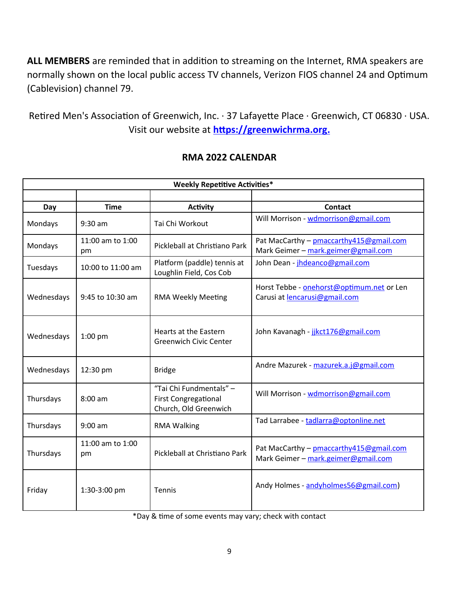**ALL MEMBERS** are reminded that in addition to streaming on the Internet, RMA speakers are normally shown on the local public access TV channels, Verizon FIOS channel 24 and Optimum (Cablevision) channel 79.

Retired Men's Association of Greenwich, Inc. · 37 Lafayette Place · Greenwich, CT 06830 · USA. Visit our website at **[https://greenwichrma.org .](about:blank)**

| <b>Weekly Repetitive Activities*</b> |                        |                                                                                 |                                                                                 |  |
|--------------------------------------|------------------------|---------------------------------------------------------------------------------|---------------------------------------------------------------------------------|--|
|                                      |                        |                                                                                 |                                                                                 |  |
| Day                                  | <b>Time</b>            | <b>Activity</b>                                                                 | <b>Contact</b>                                                                  |  |
| Mondays                              | $9:30$ am              | Tai Chi Workout                                                                 | Will Morrison - wdmorrison@gmail.com                                            |  |
| Mondays                              | 11:00 am to 1:00<br>pm | Pickleball at Christiano Park                                                   | Pat MacCarthy - pmaccarthy 415@gmail.com<br>Mark Geimer - mark.geimer@gmail.com |  |
| Tuesdays                             | 10:00 to 11:00 am      | Platform (paddle) tennis at<br>Loughlin Field, Cos Cob                          | John Dean - jhdeanco@gmail.com                                                  |  |
| Wednesdays                           | 9:45 to 10:30 am       | <b>RMA Weekly Meeting</b>                                                       | Horst Tebbe - onehorst@optimum.net or Len<br>Carusi at lencarusi@gmail.com      |  |
| Wednesdays                           | 1:00 pm                | Hearts at the Eastern<br><b>Greenwich Civic Center</b>                          | John Kavanagh - jikct176@gmail.com                                              |  |
| Wednesdays                           | 12:30 pm               | <b>Bridge</b>                                                                   | Andre Mazurek - mazurek.a.j@gmail.com                                           |  |
| Thursdays                            | 8:00 am                | "Tai Chi Fundmentals" -<br><b>First Congregational</b><br>Church, Old Greenwich | Will Morrison - wdmorrison@gmail.com                                            |  |
| Thursdays                            | $9:00$ am              | <b>RMA Walking</b>                                                              | Tad Larrabee - tadlarra@optonline.net                                           |  |
| Thursdays                            | 11:00 am to 1:00<br>pm | Pickleball at Christiano Park                                                   | Pat MacCarthy - pmaccarthy415@gmail.com<br>Mark Geimer - mark.geimer@gmail.com  |  |
| Friday                               | 1:30-3:00 pm           | Tennis                                                                          | Andy Holmes - andyholmes56@gmail.com)                                           |  |

#### **RMA 2022 CALENDAR**

\*Day & time of some events may vary; check with contact